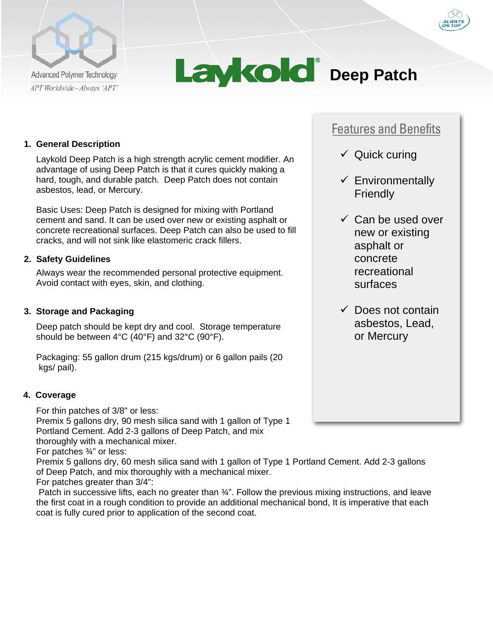



# **1. General Description**

Laykold Deep Patch is a high strength acrylic cement modifier. An advantage of using Deep Patch is that it cures quickly making a hard, tough, and durable patch. Deep Patch does not contain asbestos, lead, or Mercury.

Basic Uses: Deep Patch is designed for mixing with Portland cement and sand. It can be used over new or existing asphalt or concrete recreational surfaces. Deep Patch can also be used to fill cracks, and will not sink like elastomeric crack fillers.

# **2. Safety Guidelines**

Always wear the recommended personal protective equipment. Avoid contact with eyes, skin, and clothing.

# **3. Storage and Packaging**

Deep patch should be kept dry and cool. Storage temperature should be between 4°C (40°F) and 32°C (90°F).

Packaging: 55 gallon drum (215 kgs/drum) or 6 gallon pails (20 kgs/ pail).

#### **4. Coverage**

For thin patches of 3/8" or less:

Premix 5 gallons dry, 90 mesh silica sand with 1 gallon of Type 1 Portland Cement. Add 2-3 gallons of Deep Patch, and mix thoroughly with a mechanical mixer.

For patches ¾" or less:

Premix 5 gallons dry, 60 mesh silica sand with 1 gallon of Type 1 Portland Cement. Add 2-3 gallons of Deep Patch, and mix thoroughly with a mechanical mixer.

For patches greater than 3/4":

Patch in successive lifts, each no greater than  $\frac{3}{4}$ ". Follow the previous mixing instructions, and leave the first coat in a rough condition to provide an additional mechanical bond, It is imperative that each coat is fully cured prior to application of the second coat.

# **Features and Benefits**

- $\checkmark$  Quick curing
- $\checkmark$  Environmentally **Friendly**
- $\checkmark$  Can be used over new or existing asphalt or concrete recreational surfaces
- $\checkmark$  Does not contain asbestos, Lead, or Mercury